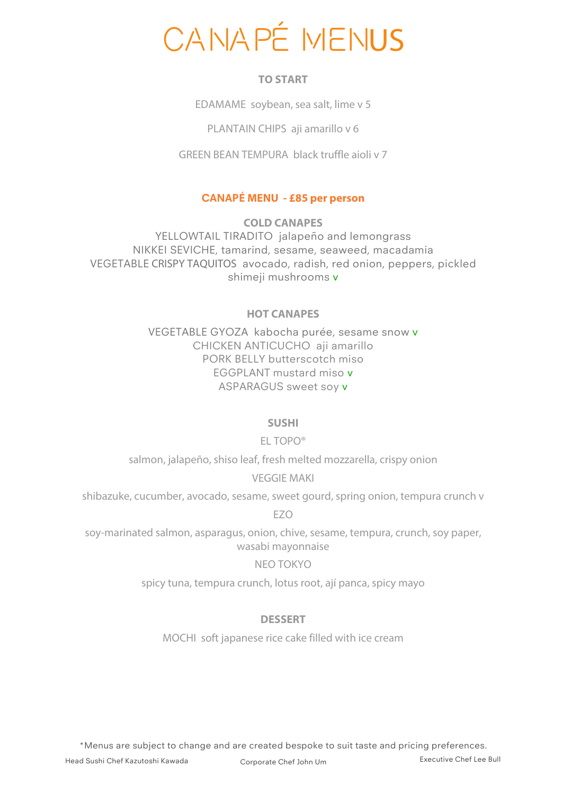# CANAPÉ MENUS

### **TO START**

EDAMAME soybean, sea salt, lime v 5

PLANTAIN CHIPS aji amarillo v 6

GREEN BEAN TEMPURA black truffle aioli v 7

### **CANAPÉ MENU - £85 per person**

**COLD CANAPES** YELLOWTAIL TIRADITO jalapeño and lemongrass NIKKEI SEVICHE, tamarind, sesame, seaweed, macadamia VEGETABLE CRISPY TAQUITOS avocado, radish, red onion, peppers, pickled shimeji mushrooms v

### **HOT CANAPES**

VEGETABLE GYOZA kabocha purée, sesame snow v CHICKEN ANTICUCHO aji amarillo PORK BELLY butterscotch miso EGGPLANT mustard miso v ASPARAGUS sweet soy v

#### **SUSHI**

## EL TOPO®

salmon, jalapeño, shiso leaf, fresh melted mozzarella, crispy onion

#### VEGGIE MAKI

shibazuke, cucumber, avocado, sesame, sweet gourd, spring onion, tempura crunch v

EZO

soy-marinated salmon, asparagus, onion, chive, sesame, tempura, crunch, soy paper, wasabi mayonnaise

#### NEO TOKYO

spicy tuna, tempura crunch, lotus root, ají panca, spicy mayo

#### **DESSERT**

MOCHI soft japanese rice cake filled with ice cream